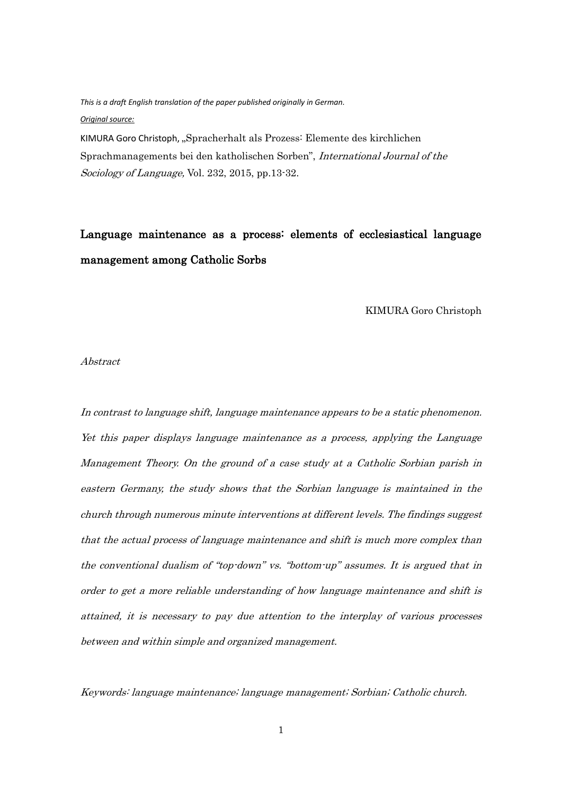*This is a draft English translation of the paper published originally in German. Original source:*

KIMURA Goro Christoph, "Spracherhalt als Prozess: Elemente des kirchlichen Sprachmanagements bei den katholischen Sorben", International Journal of the Sociology of Language, Vol. 232, 2015, pp.13-32.

# Language maintenance as a process: elements of ecclesiastical language management among Catholic Sorbs

KIMURA Goro Christoph

#### Abstract

In contrast to language shift, language maintenance appears to be a static phenomenon. Yet this paper displays language maintenance as a process, applying the Language Management Theory. On the ground of a case study at a Catholic Sorbian parish in eastern Germany, the study shows that the Sorbian language is maintained in the church through numerous minute interventions at different levels. The findings suggest that the actual process of language maintenance and shift is much more complex than the conventional dualism of "top-down" vs. "bottom-up" assumes. It is argued that in order to get a more reliable understanding of how language maintenance and shift is attained, it is necessary to pay due attention to the interplay of various processes between and within simple and organized management.

Keywords: language maintenance; language management; Sorbian; Catholic church.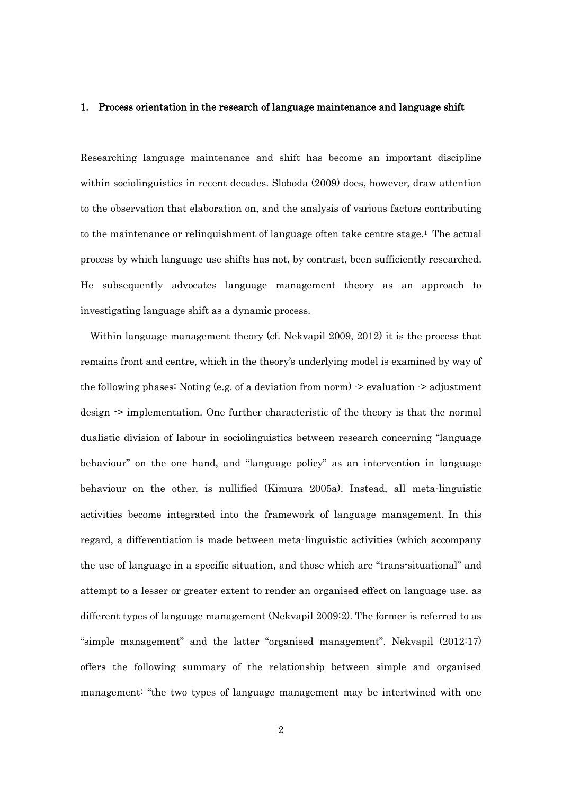#### 1. Process orientation in the research of language maintenance and language shift

Researching language maintenance and shift has become an important discipline within sociolinguistics in recent decades. Sloboda (2009) does, however, draw attention to the observation that elaboration on, and the analysis of various factors contributing to the maintenance or relinquishment of language often take centre stage.<sup>1</sup> The actual process by which language use shifts has not, by contrast, been sufficiently researched. He subsequently advocates language management theory as an approach to investigating language shift as a dynamic process.

Within language management theory (cf. Nekvapil 2009, 2012) it is the process that remains front and centre, which in the theory's underlying model is examined by way of the following phases: Noting (e.g. of a deviation from norm) -> evaluation -> adjustment design -> implementation. One further characteristic of the theory is that the normal dualistic division of labour in sociolinguistics between research concerning "language behaviour" on the one hand, and "language policy" as an intervention in language behaviour on the other, is nullified (Kimura 2005a). Instead, all meta-linguistic activities become integrated into the framework of language management. In this regard, a differentiation is made between meta-linguistic activities (which accompany the use of language in a specific situation, and those which are "trans-situational" and attempt to a lesser or greater extent to render an organised effect on language use, as different types of language management (Nekvapil 2009:2). The former is referred to as "simple management" and the latter "organised management". Nekvapil (2012:17) offers the following summary of the relationship between simple and organised management: "the two types of language management may be intertwined with one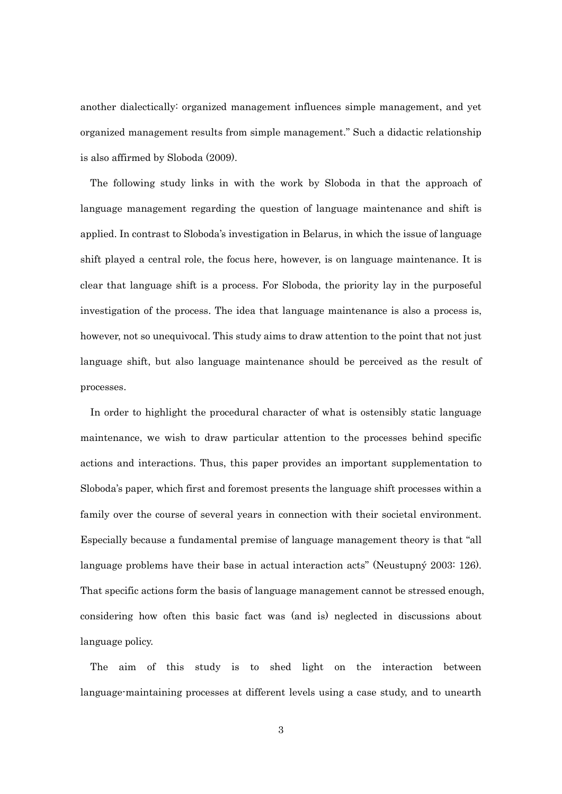another dialectically: organized management influences simple management, and yet organized management results from simple management." Such a didactic relationship is also affirmed by Sloboda (2009).

 The following study links in with the work by Sloboda in that the approach of language management regarding the question of language maintenance and shift is applied. In contrast to Sloboda's investigation in Belarus, in which the issue of language shift played a central role, the focus here, however, is on language maintenance. It is clear that language shift is a process. For Sloboda, the priority lay in the purposeful investigation of the process. The idea that language maintenance is also a process is, however, not so unequivocal. This study aims to draw attention to the point that not just language shift, but also language maintenance should be perceived as the result of processes.

In order to highlight the procedural character of what is ostensibly static language maintenance, we wish to draw particular attention to the processes behind specific actions and interactions. Thus, this paper provides an important supplementation to Sloboda's paper, which first and foremost presents the language shift processes within a family over the course of several years in connection with their societal environment. Especially because a fundamental premise of language management theory is that "all language problems have their base in actual interaction acts" (Neustupný 2003: 126). That specific actions form the basis of language management cannot be stressed enough, considering how often this basic fact was (and is) neglected in discussions about language policy.

The aim of this study is to shed light on the interaction between language-maintaining processes at different levels using a case study, and to unearth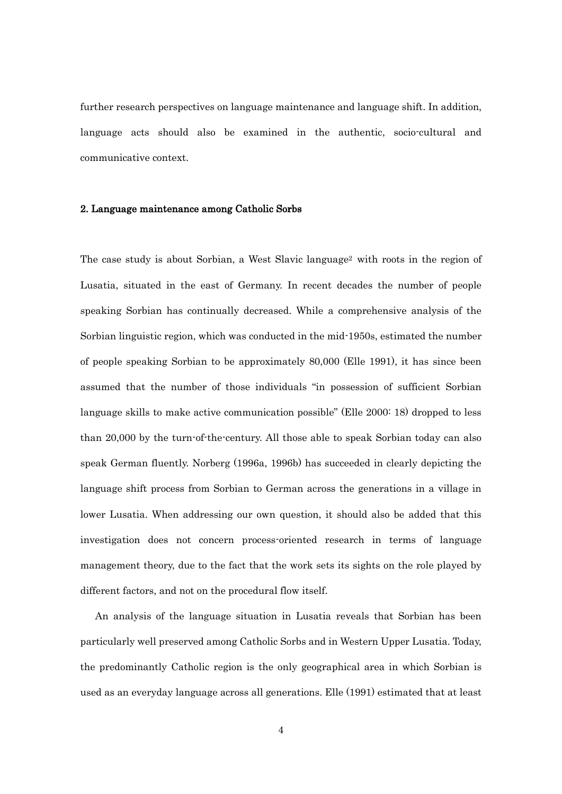further research perspectives on language maintenance and language shift. In addition, language acts should also be examined in the authentic, socio-cultural and communicative context.

#### 2. Language maintenance among Catholic Sorbs

The case study is about Sorbian, a West Slavic language<sup>2</sup> with roots in the region of Lusatia, situated in the east of Germany. In recent decades the number of people speaking Sorbian has continually decreased. While a comprehensive analysis of the Sorbian linguistic region, which was conducted in the mid-1950s, estimated the number of people speaking Sorbian to be approximately 80,000 (Elle 1991), it has since been assumed that the number of those individuals "in possession of sufficient Sorbian language skills to make active communication possible" (Elle 2000: 18) dropped to less than 20,000 by the turn-of-the-century. All those able to speak Sorbian today can also speak German fluently. Norberg (1996a, 1996b) has succeeded in clearly depicting the language shift process from Sorbian to German across the generations in a village in lower Lusatia. When addressing our own question, it should also be added that this investigation does not concern process-oriented research in terms of language management theory, due to the fact that the work sets its sights on the role played by different factors, and not on the procedural flow itself.

An analysis of the language situation in Lusatia reveals that Sorbian has been particularly well preserved among Catholic Sorbs and in Western Upper Lusatia. Today, the predominantly Catholic region is the only geographical area in which Sorbian is used as an everyday language across all generations. Elle (1991) estimated that at least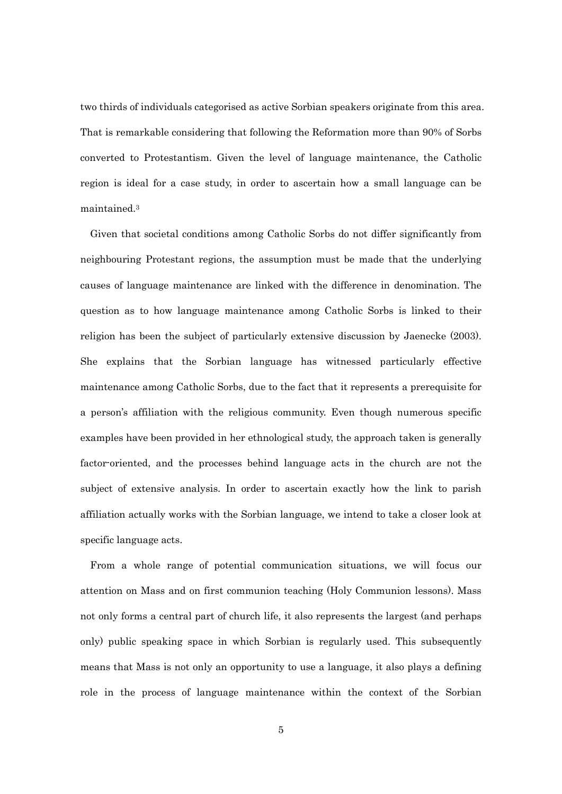two thirds of individuals categorised as active Sorbian speakers originate from this area. That is remarkable considering that following the Reformation more than 90% of Sorbs converted to Protestantism. Given the level of language maintenance, the Catholic region is ideal for a case study, in order to ascertain how a small language can be maintained.<sup>3</sup>

Given that societal conditions among Catholic Sorbs do not differ significantly from neighbouring Protestant regions, the assumption must be made that the underlying causes of language maintenance are linked with the difference in denomination. The question as to how language maintenance among Catholic Sorbs is linked to their religion has been the subject of particularly extensive discussion by Jaenecke (2003). She explains that the Sorbian language has witnessed particularly effective maintenance among Catholic Sorbs, due to the fact that it represents a prerequisite for a person's affiliation with the religious community. Even though numerous specific examples have been provided in her ethnological study, the approach taken is generally factor-oriented, and the processes behind language acts in the church are not the subject of extensive analysis. In order to ascertain exactly how the link to parish affiliation actually works with the Sorbian language, we intend to take a closer look at specific language acts.

 From a whole range of potential communication situations, we will focus our attention on Mass and on first communion teaching (Holy Communion lessons). Mass not only forms a central part of church life, it also represents the largest (and perhaps only) public speaking space in which Sorbian is regularly used. This subsequently means that Mass is not only an opportunity to use a language, it also plays a defining role in the process of language maintenance within the context of the Sorbian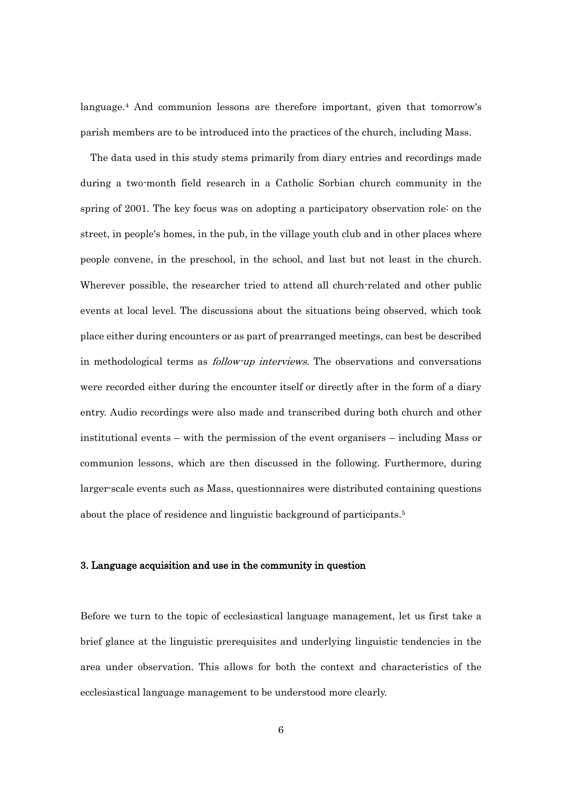language.<sup>4</sup> And communion lessons are therefore important, given that tomorrow's parish members are to be introduced into the practices of the church, including Mass.

The data used in this study stems primarily from diary entries and recordings made during a two-month field research in a Catholic Sorbian church community in the spring of 2001. The key focus was on adopting a participatory observation role: on the street, in people's homes, in the pub, in the village youth club and in other places where people convene, in the preschool, in the school, and last but not least in the church. Wherever possible, the researcher tried to attend all church-related and other public events at local level. The discussions about the situations being observed, which took place either during encounters or as part of prearranged meetings, can best be described in methodological terms as follow-up interviews. The observations and conversations were recorded either during the encounter itself or directly after in the form of a diary entry. Audio recordings were also made and transcribed during both church and other institutional events – with the permission of the event organisers – including Mass or communion lessons, which are then discussed in the following. Furthermore, during larger-scale events such as Mass, questionnaires were distributed containing questions about the place of residence and linguistic background of participants.<sup>5</sup>

## 3. Language acquisition and use in the community in question

Before we turn to the topic of ecclesiastical language management, let us first take a brief glance at the linguistic prerequisites and underlying linguistic tendencies in the area under observation. This allows for both the context and characteristics of the ecclesiastical language management to be understood more clearly.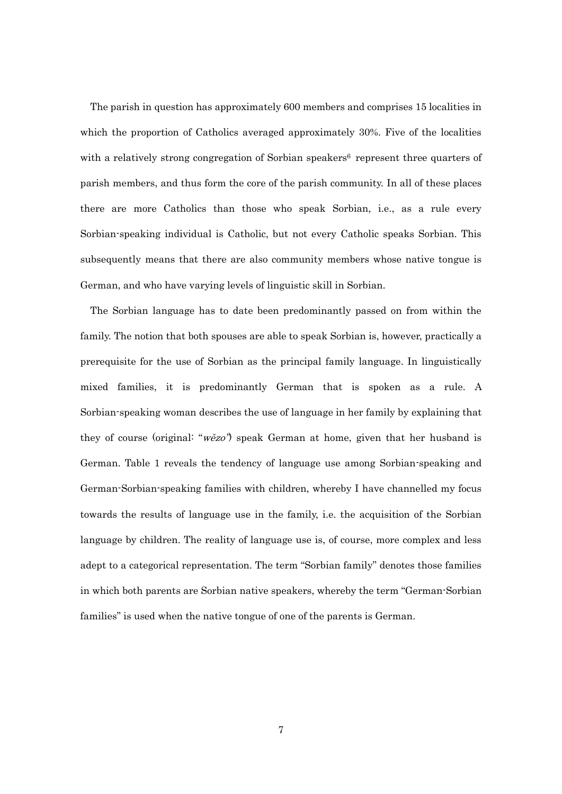The parish in question has approximately 600 members and comprises 15 localities in which the proportion of Catholics averaged approximately 30%. Five of the localities with a relatively strong congregation of Sorbian speakers<sup>6</sup> represent three quarters of parish members, and thus form the core of the parish community. In all of these places there are more Catholics than those who speak Sorbian, i.e., as a rule every Sorbian-speaking individual is Catholic, but not every Catholic speaks Sorbian. This subsequently means that there are also community members whose native tongue is German, and who have varying levels of linguistic skill in Sorbian.

The Sorbian language has to date been predominantly passed on from within the family. The notion that both spouses are able to speak Sorbian is, however, practically a prerequisite for the use of Sorbian as the principal family language. In linguistically mixed families, it is predominantly German that is spoken as a rule. A Sorbian-speaking woman describes the use of language in her family by explaining that they of course (original: "wězo") speak German at home, given that her husband is German. Table 1 reveals the tendency of language use among Sorbian-speaking and German-Sorbian-speaking families with children, whereby I have channelled my focus towards the results of language use in the family, i.e. the acquisition of the Sorbian language by children. The reality of language use is, of course, more complex and less adept to a categorical representation. The term "Sorbian family" denotes those families in which both parents are Sorbian native speakers, whereby the term "German-Sorbian families" is used when the native tongue of one of the parents is German.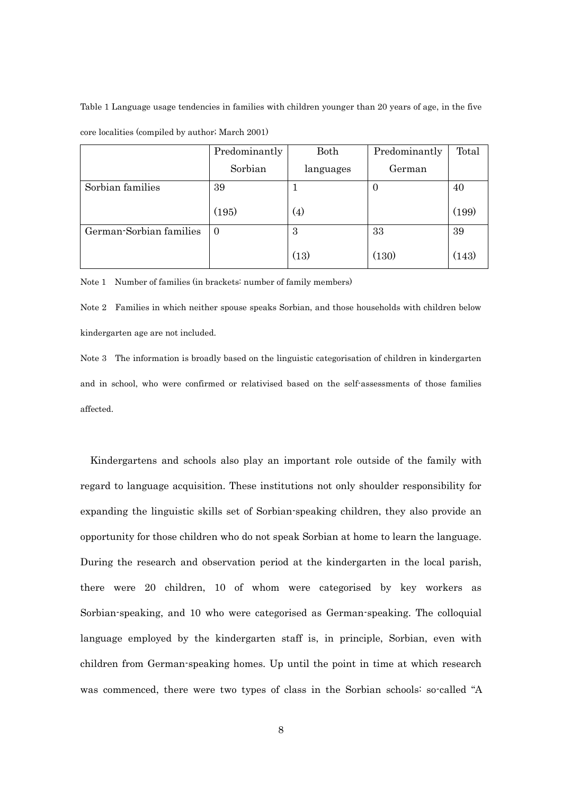Table 1 Language usage tendencies in families with children younger than 20 years of age, in the five core localities (compiled by author; March 2001)

|                         | Predominantly | Both               | Predominantly | Total |
|-------------------------|---------------|--------------------|---------------|-------|
|                         | Sorbian       | languages          | German        |       |
| Sorbian families        | 39            |                    | O             | 40    |
|                         | (195)         | $\left( 4 \right)$ |               | (199) |
| German-Sorbian families | $\Omega$      | 3                  | 33            | 39    |
|                         |               | (13)               | (130)         | (143) |

Note 1 Number of families (in brackets: number of family members)

Note 2 Families in which neither spouse speaks Sorbian, and those households with children below kindergarten age are not included.

Note 3 The information is broadly based on the linguistic categorisation of children in kindergarten and in school, who were confirmed or relativised based on the self-assessments of those families affected.

Kindergartens and schools also play an important role outside of the family with regard to language acquisition. These institutions not only shoulder responsibility for expanding the linguistic skills set of Sorbian-speaking children, they also provide an opportunity for those children who do not speak Sorbian at home to learn the language. During the research and observation period at the kindergarten in the local parish, there were 20 children, 10 of whom were categorised by key workers as Sorbian-speaking, and 10 who were categorised as German-speaking. The colloquial language employed by the kindergarten staff is, in principle, Sorbian, even with children from German-speaking homes. Up until the point in time at which research was commenced, there were two types of class in the Sorbian schools: so-called "A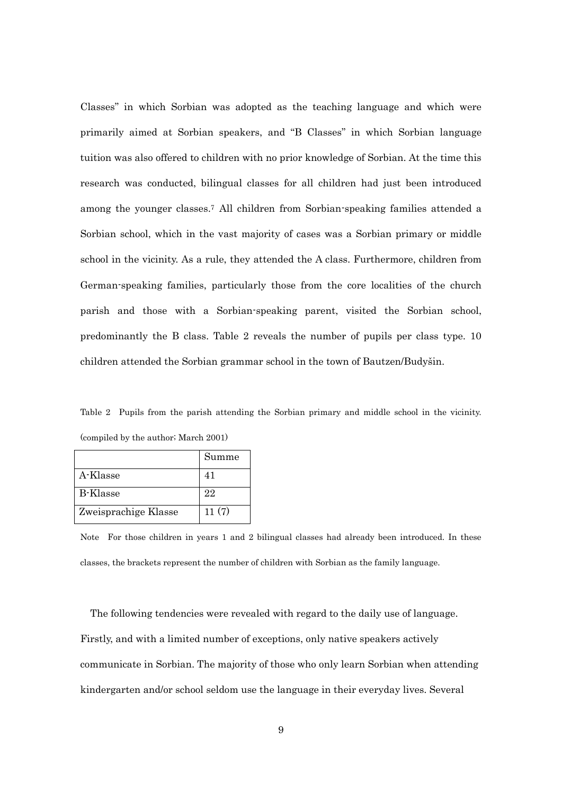Classes" in which Sorbian was adopted as the teaching language and which were primarily aimed at Sorbian speakers, and "B Classes" in which Sorbian language tuition was also offered to children with no prior knowledge of Sorbian. At the time this research was conducted, bilingual classes for all children had just been introduced among the younger classes.<sup>7</sup> All children from Sorbian-speaking families attended a Sorbian school, which in the vast majority of cases was a Sorbian primary or middle school in the vicinity. As a rule, they attended the A class. Furthermore, children from German-speaking families, particularly those from the core localities of the church parish and those with a Sorbian-speaking parent, visited the Sorbian school, predominantly the B class. Table 2 reveals the number of pupils per class type. 10 children attended the Sorbian grammar school in the town of Bautzen/Budyšin.

Table 2 Pupils from the parish attending the Sorbian primary and middle school in the vicinity. (compiled by the author; March 2001)

|                      | Summe |
|----------------------|-------|
| A-Klasse             | 41    |
| B-Klasse             | 22    |
| Zweisprachige Klasse | 11(7) |

Note For those children in years 1 and 2 bilingual classes had already been introduced. In these classes, the brackets represent the number of children with Sorbian as the family language.

The following tendencies were revealed with regard to the daily use of language. Firstly, and with a limited number of exceptions, only native speakers actively communicate in Sorbian. The majority of those who only learn Sorbian when attending kindergarten and/or school seldom use the language in their everyday lives. Several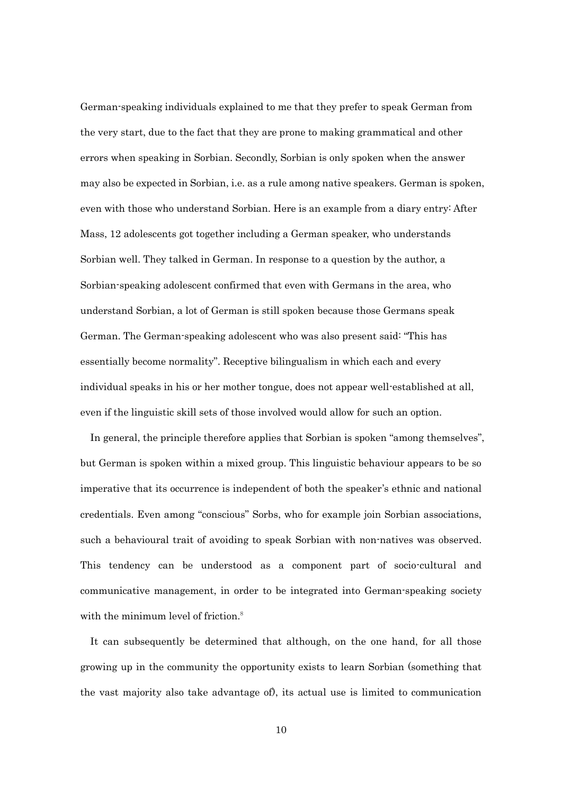German-speaking individuals explained to me that they prefer to speak German from the very start, due to the fact that they are prone to making grammatical and other errors when speaking in Sorbian. Secondly, Sorbian is only spoken when the answer may also be expected in Sorbian, i.e. as a rule among native speakers. German is spoken, even with those who understand Sorbian. Here is an example from a diary entry: After Mass, 12 adolescents got together including a German speaker, who understands Sorbian well. They talked in German. In response to a question by the author, a Sorbian-speaking adolescent confirmed that even with Germans in the area, who understand Sorbian, a lot of German is still spoken because those Germans speak German. The German-speaking adolescent who was also present said: "This has essentially become normality". Receptive bilingualism in which each and every individual speaks in his or her mother tongue, does not appear well-established at all, even if the linguistic skill sets of those involved would allow for such an option.

In general, the principle therefore applies that Sorbian is spoken "among themselves", but German is spoken within a mixed group. This linguistic behaviour appears to be so imperative that its occurrence is independent of both the speaker's ethnic and national credentials. Even among "conscious" Sorbs, who for example join Sorbian associations, such a behavioural trait of avoiding to speak Sorbian with non-natives was observed. This tendency can be understood as a component part of socio-cultural and communicative management, in order to be integrated into German-speaking society with the minimum level of friction.<sup>8</sup>

It can subsequently be determined that although, on the one hand, for all those growing up in the community the opportunity exists to learn Sorbian (something that the vast majority also take advantage of), its actual use is limited to communication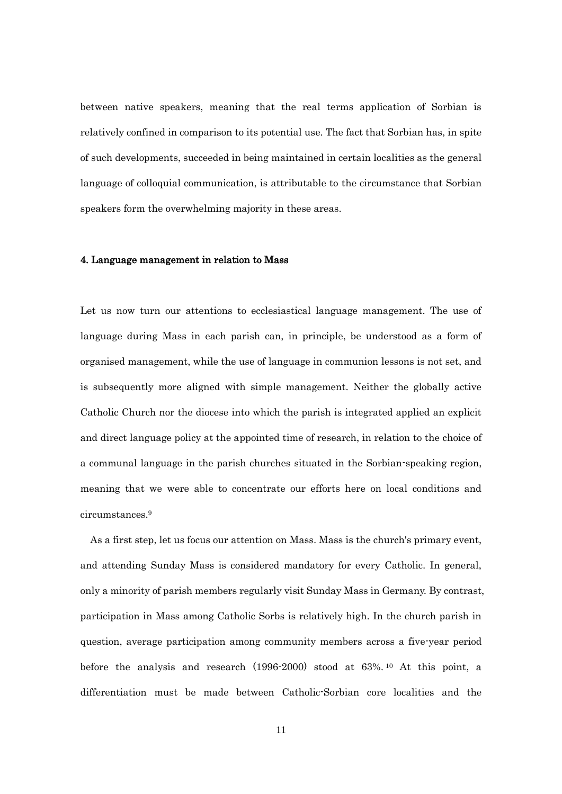between native speakers, meaning that the real terms application of Sorbian is relatively confined in comparison to its potential use. The fact that Sorbian has, in spite of such developments, succeeded in being maintained in certain localities as the general language of colloquial communication, is attributable to the circumstance that Sorbian speakers form the overwhelming majority in these areas.

### 4. Language management in relation to Mass

Let us now turn our attentions to ecclesiastical language management. The use of language during Mass in each parish can, in principle, be understood as a form of organised management, while the use of language in communion lessons is not set, and is subsequently more aligned with simple management. Neither the globally active Catholic Church nor the diocese into which the parish is integrated applied an explicit and direct language policy at the appointed time of research, in relation to the choice of a communal language in the parish churches situated in the Sorbian-speaking region, meaning that we were able to concentrate our efforts here on local conditions and circumstances.<sup>9</sup>

As a first step, let us focus our attention on Mass. Mass is the church's primary event, and attending Sunday Mass is considered mandatory for every Catholic. In general, only a minority of parish members regularly visit Sunday Mass in Germany. By contrast, participation in Mass among Catholic Sorbs is relatively high. In the church parish in question, average participation among community members across a five-year period before the analysis and research (1996-2000) stood at 63%. <sup>10</sup> At this point, a differentiation must be made between Catholic-Sorbian core localities and the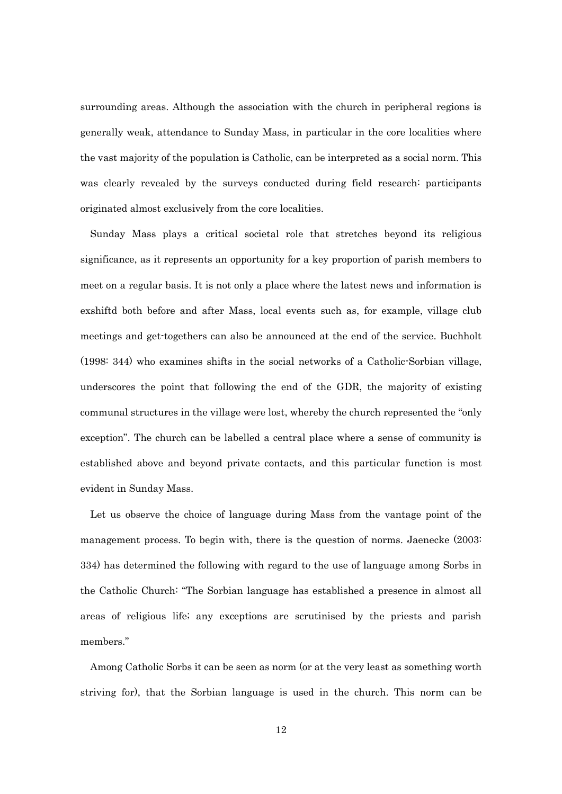surrounding areas. Although the association with the church in peripheral regions is generally weak, attendance to Sunday Mass, in particular in the core localities where the vast majority of the population is Catholic, can be interpreted as a social norm. This was clearly revealed by the surveys conducted during field research: participants originated almost exclusively from the core localities.

Sunday Mass plays a critical societal role that stretches beyond its religious significance, as it represents an opportunity for a key proportion of parish members to meet on a regular basis. It is not only a place where the latest news and information is exshiftd both before and after Mass, local events such as, for example, village club meetings and get-togethers can also be announced at the end of the service. Buchholt (1998: 344) who examines shifts in the social networks of a Catholic-Sorbian village, underscores the point that following the end of the GDR, the majority of existing communal structures in the village were lost, whereby the church represented the "only exception". The church can be labelled a central place where a sense of community is established above and beyond private contacts, and this particular function is most evident in Sunday Mass.

Let us observe the choice of language during Mass from the vantage point of the management process. To begin with, there is the question of norms. Jaenecke (2003: 334) has determined the following with regard to the use of language among Sorbs in the Catholic Church: "The Sorbian language has established a presence in almost all areas of religious life; any exceptions are scrutinised by the priests and parish members."

Among Catholic Sorbs it can be seen as norm (or at the very least as something worth striving for), that the Sorbian language is used in the church. This norm can be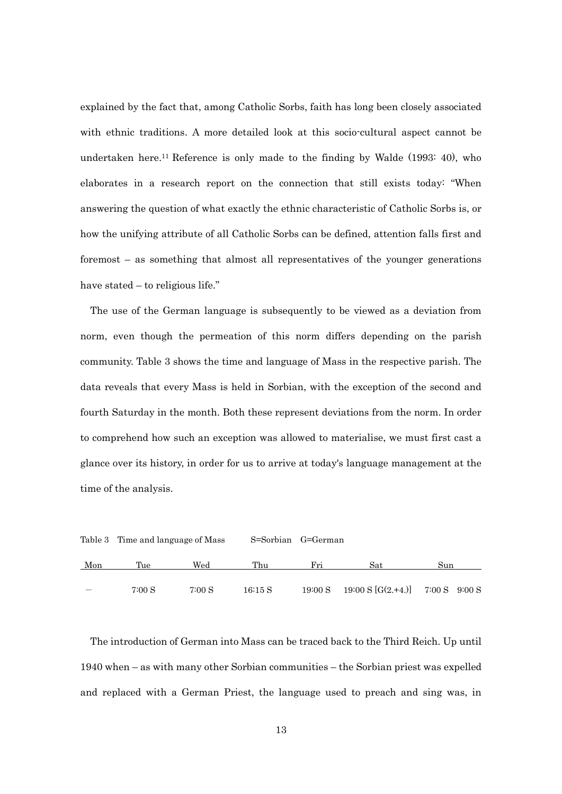explained by the fact that, among Catholic Sorbs, faith has long been closely associated with ethnic traditions. A more detailed look at this socio-cultural aspect cannot be undertaken here.<sup>11</sup> Reference is only made to the finding by Walde (1993: 40), who elaborates in a research report on the connection that still exists today: "When answering the question of what exactly the ethnic characteristic of Catholic Sorbs is, or how the unifying attribute of all Catholic Sorbs can be defined, attention falls first and foremost – as something that almost all representatives of the younger generations have stated – to religious life."

The use of the German language is subsequently to be viewed as a deviation from norm, even though the permeation of this norm differs depending on the parish community. Table 3 shows the time and language of Mass in the respective parish. The data reveals that every Mass is held in Sorbian, with the exception of the second and fourth Saturday in the month. Both these represent deviations from the norm. In order to comprehend how such an exception was allowed to materialise, we must first cast a glance over its history, in order for us to arrive at today's language management at the time of the analysis.

|     | Table 3 Time and language of Mass |        | S=Sorbian G=German |         |                                                      |     |  |  |
|-----|-----------------------------------|--------|--------------------|---------|------------------------------------------------------|-----|--|--|
| Mon | Tue                               | Wed    | Thu                | Fri     | Sat                                                  | Sun |  |  |
|     | 7:00 S                            | 7:00 S | 16:15S             | 19:00 S | $19:00 \text{ S}$ [G(2.+4.)] $7:00 \text{ S}$ 9:00 S |     |  |  |

The introduction of German into Mass can be traced back to the Third Reich. Up until 1940 when – as with many other Sorbian communities – the Sorbian priest was expelled and replaced with a German Priest, the language used to preach and sing was, in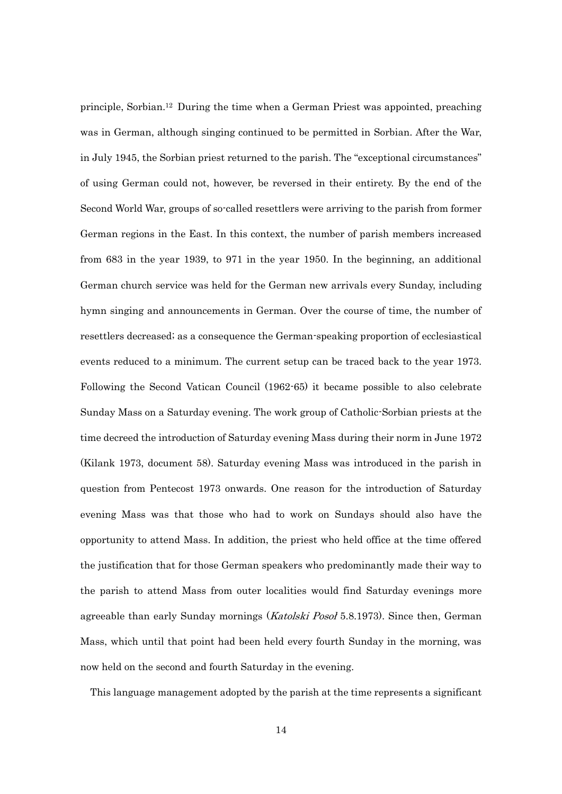principle, Sorbian.<sup>12</sup> During the time when a German Priest was appointed, preaching was in German, although singing continued to be permitted in Sorbian. After the War, in July 1945, the Sorbian priest returned to the parish. The "exceptional circumstances" of using German could not, however, be reversed in their entirety. By the end of the Second World War, groups of so-called resettlers were arriving to the parish from former German regions in the East. In this context, the number of parish members increased from 683 in the year 1939, to 971 in the year 1950. In the beginning, an additional German church service was held for the German new arrivals every Sunday, including hymn singing and announcements in German. Over the course of time, the number of resettlers decreased; as a consequence the German-speaking proportion of ecclesiastical events reduced to a minimum. The current setup can be traced back to the year 1973. Following the Second Vatican Council (1962-65) it became possible to also celebrate Sunday Mass on a Saturday evening. The work group of Catholic-Sorbian priests at the time decreed the introduction of Saturday evening Mass during their norm in June 1972 (Kilank 1973, document 58). Saturday evening Mass was introduced in the parish in question from Pentecost 1973 onwards. One reason for the introduction of Saturday evening Mass was that those who had to work on Sundays should also have the opportunity to attend Mass. In addition, the priest who held office at the time offered the justification that for those German speakers who predominantly made their way to the parish to attend Mass from outer localities would find Saturday evenings more agreeable than early Sunday mornings (*Katolski Posol* 5.8.1973). Since then, German Mass, which until that point had been held every fourth Sunday in the morning, was now held on the second and fourth Saturday in the evening.

This language management adopted by the parish at the time represents a significant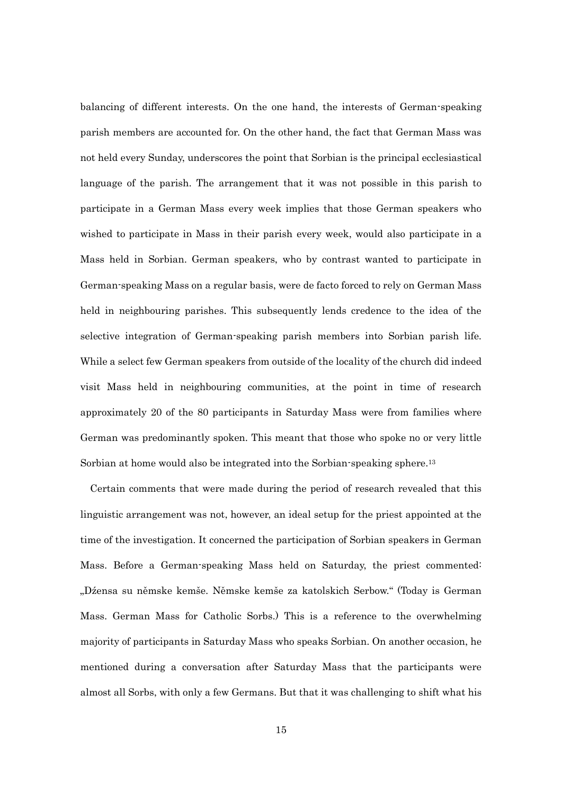balancing of different interests. On the one hand, the interests of German-speaking parish members are accounted for. On the other hand, the fact that German Mass was not held every Sunday, underscores the point that Sorbian is the principal ecclesiastical language of the parish. The arrangement that it was not possible in this parish to participate in a German Mass every week implies that those German speakers who wished to participate in Mass in their parish every week, would also participate in a Mass held in Sorbian. German speakers, who by contrast wanted to participate in German-speaking Mass on a regular basis, were de facto forced to rely on German Mass held in neighbouring parishes. This subsequently lends credence to the idea of the selective integration of German-speaking parish members into Sorbian parish life. While a select few German speakers from outside of the locality of the church did indeed visit Mass held in neighbouring communities, at the point in time of research approximately 20 of the 80 participants in Saturday Mass were from families where German was predominantly spoken. This meant that those who spoke no or very little Sorbian at home would also be integrated into the Sorbian-speaking sphere.<sup>13</sup>

 Certain comments that were made during the period of research revealed that this linguistic arrangement was not, however, an ideal setup for the priest appointed at the time of the investigation. It concerned the participation of Sorbian speakers in German Mass. Before a German-speaking Mass held on Saturday, the priest commented: "Dźensa su němske kemše. Němske kemše za katolskich Serbow." (Today is German Mass. German Mass for Catholic Sorbs.) This is a reference to the overwhelming majority of participants in Saturday Mass who speaks Sorbian. On another occasion, he mentioned during a conversation after Saturday Mass that the participants were almost all Sorbs, with only a few Germans. But that it was challenging to shift what his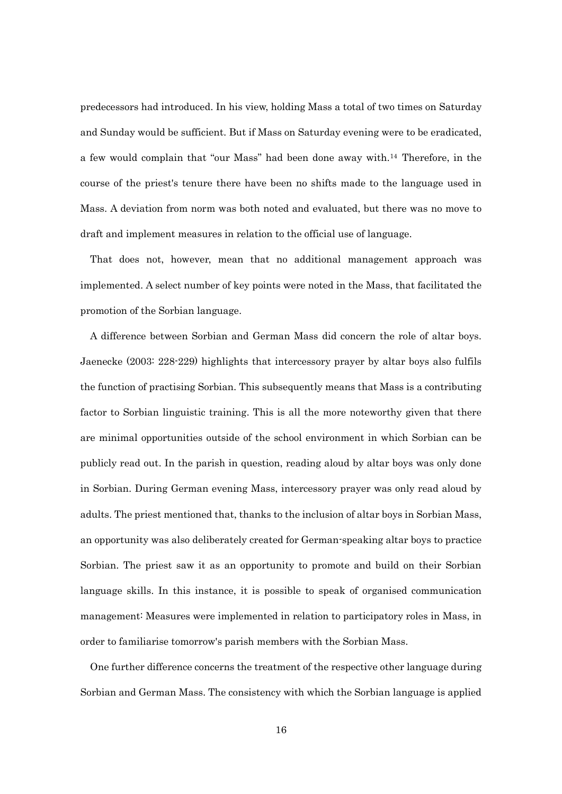predecessors had introduced. In his view, holding Mass a total of two times on Saturday and Sunday would be sufficient. But if Mass on Saturday evening were to be eradicated, a few would complain that "our Mass" had been done away with.<sup>14</sup> Therefore, in the course of the priest's tenure there have been no shifts made to the language used in Mass. A deviation from norm was both noted and evaluated, but there was no move to draft and implement measures in relation to the official use of language.

 That does not, however, mean that no additional management approach was implemented. A select number of key points were noted in the Mass, that facilitated the promotion of the Sorbian language.

 A difference between Sorbian and German Mass did concern the role of altar boys. Jaenecke (2003: 228-229) highlights that intercessory prayer by altar boys also fulfils the function of practising Sorbian. This subsequently means that Mass is a contributing factor to Sorbian linguistic training. This is all the more noteworthy given that there are minimal opportunities outside of the school environment in which Sorbian can be publicly read out. In the parish in question, reading aloud by altar boys was only done in Sorbian. During German evening Mass, intercessory prayer was only read aloud by adults. The priest mentioned that, thanks to the inclusion of altar boys in Sorbian Mass, an opportunity was also deliberately created for German-speaking altar boys to practice Sorbian. The priest saw it as an opportunity to promote and build on their Sorbian language skills. In this instance, it is possible to speak of organised communication management: Measures were implemented in relation to participatory roles in Mass, in order to familiarise tomorrow's parish members with the Sorbian Mass.

 One further difference concerns the treatment of the respective other language during Sorbian and German Mass. The consistency with which the Sorbian language is applied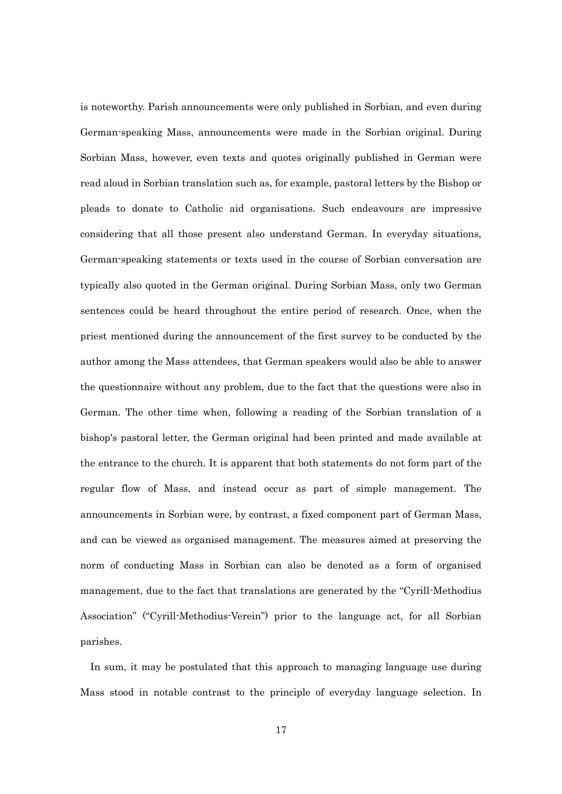is noteworthy. Parish announcements were only published in Sorbian, and even during German-speaking Mass, announcements were made in the Sorbian original. During Sorbian Mass, however, even texts and quotes originally published in German were read aloud in Sorbian translation such as, for example, pastoral letters by the Bishop or pleads to donate to Catholic aid organisations. Such endeavours are impressive considering that all those present also understand German. In everyday situations, German-speaking statements or texts used in the course of Sorbian conversation are typically also quoted in the German original. During Sorbian Mass, only two German sentences could be heard throughout the entire period of research. Once, when the priest mentioned during the announcement of the first survey to be conducted by the author among the Mass attendees, that German speakers would also be able to answer the questionnaire without any problem, due to the fact that the questions were also in German. The other time when, following a reading of the Sorbian translation of a bishop's pastoral letter, the German original had been printed and made available at the entrance to the church. It is apparent that both statements do not form part of the regular flow of Mass, and instead occur as part of simple management. The announcements in Sorbian were, by contrast, a fixed component part of German Mass, and can be viewed as organised management. The measures aimed at preserving the norm of conducting Mass in Sorbian can also be denoted as a form of organised management, due to the fact that translations are generated by the "Cyrill-Methodius Association" ("Cyrill-Methodius-Verein") prior to the language act, for all Sorbian parishes.

In sum, it may be postulated that this approach to managing language use during Mass stood in notable contrast to the principle of everyday language selection. In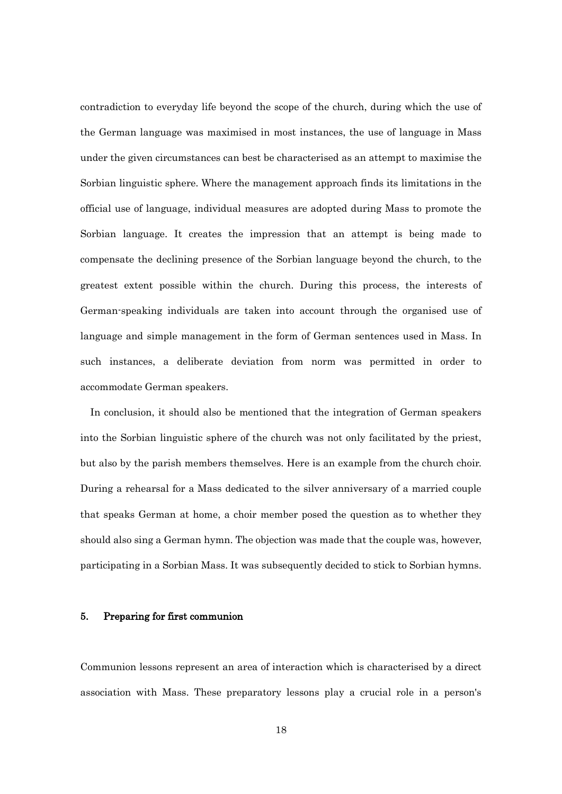contradiction to everyday life beyond the scope of the church, during which the use of the German language was maximised in most instances, the use of language in Mass under the given circumstances can best be characterised as an attempt to maximise the Sorbian linguistic sphere. Where the management approach finds its limitations in the official use of language, individual measures are adopted during Mass to promote the Sorbian language. It creates the impression that an attempt is being made to compensate the declining presence of the Sorbian language beyond the church, to the greatest extent possible within the church. During this process, the interests of German-speaking individuals are taken into account through the organised use of language and simple management in the form of German sentences used in Mass. In such instances, a deliberate deviation from norm was permitted in order to accommodate German speakers.

In conclusion, it should also be mentioned that the integration of German speakers into the Sorbian linguistic sphere of the church was not only facilitated by the priest, but also by the parish members themselves. Here is an example from the church choir. During a rehearsal for a Mass dedicated to the silver anniversary of a married couple that speaks German at home, a choir member posed the question as to whether they should also sing a German hymn. The objection was made that the couple was, however, participating in a Sorbian Mass. It was subsequently decided to stick to Sorbian hymns.

## 5. Preparing for first communion

Communion lessons represent an area of interaction which is characterised by a direct association with Mass. These preparatory lessons play a crucial role in a person's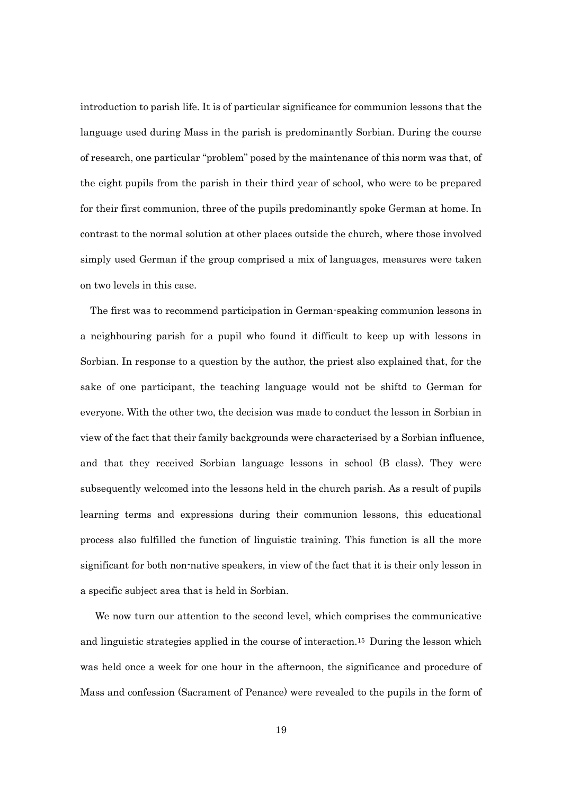introduction to parish life. It is of particular significance for communion lessons that the language used during Mass in the parish is predominantly Sorbian. During the course of research, one particular "problem" posed by the maintenance of this norm was that, of the eight pupils from the parish in their third year of school, who were to be prepared for their first communion, three of the pupils predominantly spoke German at home. In contrast to the normal solution at other places outside the church, where those involved simply used German if the group comprised a mix of languages, measures were taken on two levels in this case.

 The first was to recommend participation in German-speaking communion lessons in a neighbouring parish for a pupil who found it difficult to keep up with lessons in Sorbian. In response to a question by the author, the priest also explained that, for the sake of one participant, the teaching language would not be shiftd to German for everyone. With the other two, the decision was made to conduct the lesson in Sorbian in view of the fact that their family backgrounds were characterised by a Sorbian influence, and that they received Sorbian language lessons in school (B class). They were subsequently welcomed into the lessons held in the church parish. As a result of pupils learning terms and expressions during their communion lessons, this educational process also fulfilled the function of linguistic training. This function is all the more significant for both non-native speakers, in view of the fact that it is their only lesson in a specific subject area that is held in Sorbian.

We now turn our attention to the second level, which comprises the communicative and linguistic strategies applied in the course of interaction.<sup>15</sup> During the lesson which was held once a week for one hour in the afternoon, the significance and procedure of Mass and confession (Sacrament of Penance) were revealed to the pupils in the form of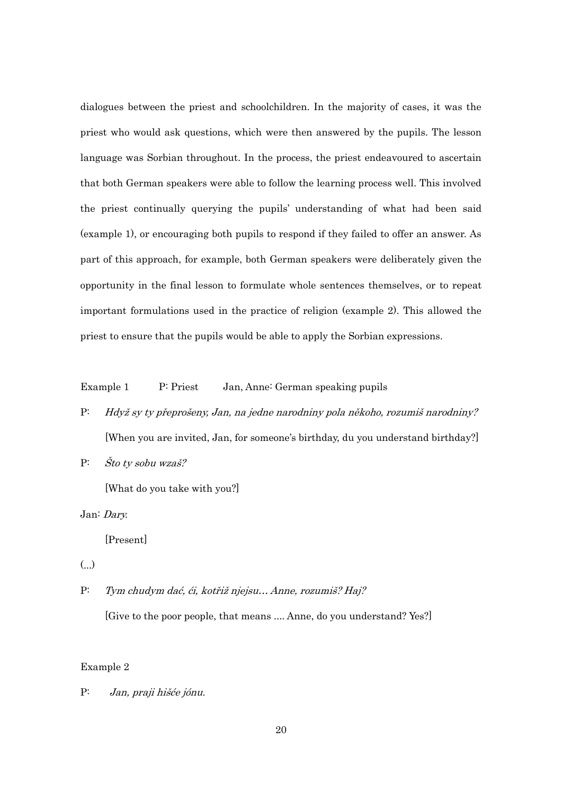dialogues between the priest and schoolchildren. In the majority of cases, it was the priest who would ask questions, which were then answered by the pupils. The lesson language was Sorbian throughout. In the process, the priest endeavoured to ascertain that both German speakers were able to follow the learning process well. This involved the priest continually querying the pupils' understanding of what had been said (example 1), or encouraging both pupils to respond if they failed to offer an answer. As part of this approach, for example, both German speakers were deliberately given the opportunity in the final lesson to formulate whole sentences themselves, or to repeat important formulations used in the practice of religion (example 2). This allowed the priest to ensure that the pupils would be able to apply the Sorbian expressions.

Example 1 P: Priest Jan, Anne: German speaking pupils

- P: Hdyž sy ty přeprošeny, Jan, na jedne narodniny pola někoho, rozumiš narodniny? [When you are invited, Jan, for someone's birthday, du you understand birthday?]
- P: Što ty sobu wzaš?

[What do you take with you?]

Jan: Dary.

[Present]

(...)

P: Tym chudym dać, ći, kotřiž njejsu… Anne, rozumiš? Haj? [Give to the poor people, that means .... Anne, do you understand? Yes?]

# Example 2

P: Jan, praji hišće jónu.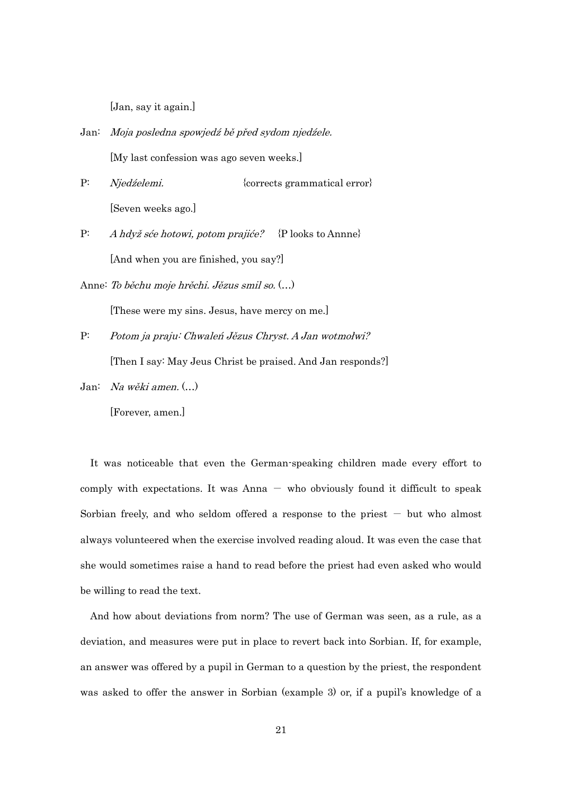[Jan, say it again.]

- Jan: Moja posledna spowjedź bě před sydom njedźele. [My last confession was ago seven weeks.]
- P: *Njedźelemi.* {corrects grammatical error} [Seven weeks ago.]
- P: A hdyž sće hotowi, potom prajiće? {P looks to Annne} [And when you are finished, you say?]
- Anne: To běchu moje hrěchi. Jězus smil so. (…)
- P: Potom ja praju: Chwaleń Jězus Chryst. A Jan wotmołwi?

[These were my sins. Jesus, have mercy on me.]

[Then I say: May Jeus Christ be praised. And Jan responds?]

Jan: Na wěki amen. (…)

[Forever, amen.]

It was noticeable that even the German-speaking children made every effort to comply with expectations. It was  $\text{Anna} - \text{ who obviously found it difficult to speak}$ Sorbian freely, and who seldom offered a response to the priest  $-$  but who almost always volunteered when the exercise involved reading aloud. It was even the case that she would sometimes raise a hand to read before the priest had even asked who would be willing to read the text.

And how about deviations from norm? The use of German was seen, as a rule, as a deviation, and measures were put in place to revert back into Sorbian. If, for example, an answer was offered by a pupil in German to a question by the priest, the respondent was asked to offer the answer in Sorbian (example 3) or, if a pupil's knowledge of a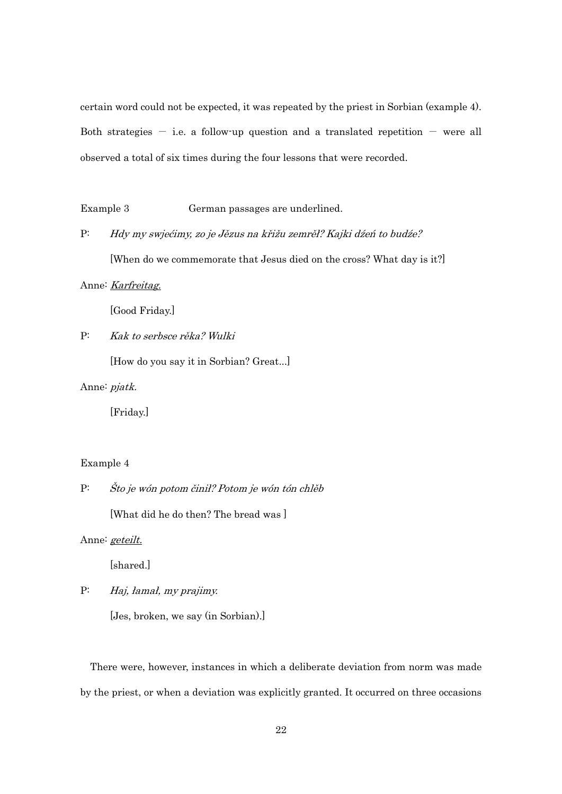certain word could not be expected, it was repeated by the priest in Sorbian (example 4). Both strategies  $-$  i.e. a follow-up question and a translated repetition  $-$  were all observed a total of six times during the four lessons that were recorded.

Example 3 German passages are underlined.

P: Hdy my swjećimy, zo je Jězus na křižu zemrěł? Kajki dźeń to budźe? [When do we commemorate that Jesus died on the cross? What day is it?]

Anne: Karfreitag.

[Good Friday.]

P: Kak to serbsce rěka? Wulki

[How do you say it in Sorbian? Great...]

Anne: pjatk.

[Friday.]

## Example 4

# P: Što je wón potom činił? Potom je wón tón chlěb

[What did he do then? The bread was]

Anne: geteilt.

[shared.]

P: Haj, łamał, my prajimy.

[Jes, broken, we say (in Sorbian).]

There were, however, instances in which a deliberate deviation from norm was made by the priest, or when a deviation was explicitly granted. It occurred on three occasions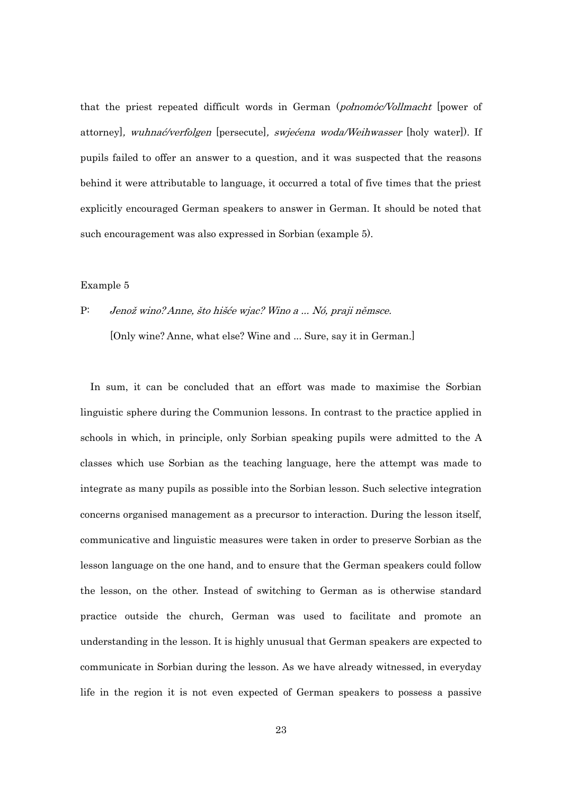that the priest repeated difficult words in German (połnomόc/Vollmacht [power of attorney], wuhnać/verfolgen [persecute], swjećena woda/Weihwasser [holy water]). If pupils failed to offer an answer to a question, and it was suspected that the reasons behind it were attributable to language, it occurred a total of five times that the priest explicitly encouraged German speakers to answer in German. It should be noted that such encouragement was also expressed in Sorbian (example 5).

## Example 5

# P: Jenož wino? Anne, što hišće wjac? Wino a ... Nó, praji němsce. [Only wine? Anne, what else? Wine and ... Sure, say it in German.]

In sum, it can be concluded that an effort was made to maximise the Sorbian linguistic sphere during the Communion lessons. In contrast to the practice applied in schools in which, in principle, only Sorbian speaking pupils were admitted to the A classes which use Sorbian as the teaching language, here the attempt was made to integrate as many pupils as possible into the Sorbian lesson. Such selective integration concerns organised management as a precursor to interaction. During the lesson itself, communicative and linguistic measures were taken in order to preserve Sorbian as the lesson language on the one hand, and to ensure that the German speakers could follow the lesson, on the other. Instead of switching to German as is otherwise standard practice outside the church, German was used to facilitate and promote an understanding in the lesson. It is highly unusual that German speakers are expected to communicate in Sorbian during the lesson. As we have already witnessed, in everyday life in the region it is not even expected of German speakers to possess a passive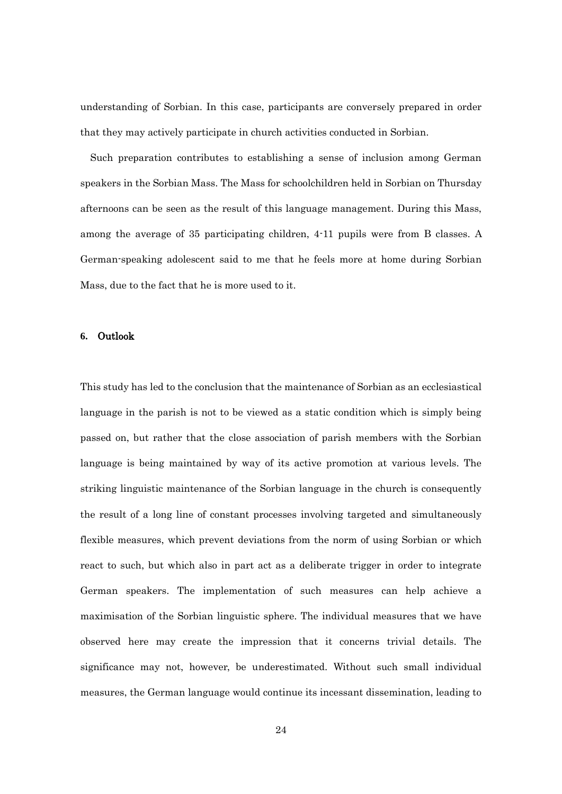understanding of Sorbian. In this case, participants are conversely prepared in order that they may actively participate in church activities conducted in Sorbian.

Such preparation contributes to establishing a sense of inclusion among German speakers in the Sorbian Mass. The Mass for schoolchildren held in Sorbian on Thursday afternoons can be seen as the result of this language management. During this Mass, among the average of 35 participating children, 4-11 pupils were from B classes. A German-speaking adolescent said to me that he feels more at home during Sorbian Mass, due to the fact that he is more used to it.

#### **6.** Outlook

This study has led to the conclusion that the maintenance of Sorbian as an ecclesiastical language in the parish is not to be viewed as a static condition which is simply being passed on, but rather that the close association of parish members with the Sorbian language is being maintained by way of its active promotion at various levels. The striking linguistic maintenance of the Sorbian language in the church is consequently the result of a long line of constant processes involving targeted and simultaneously flexible measures, which prevent deviations from the norm of using Sorbian or which react to such, but which also in part act as a deliberate trigger in order to integrate German speakers. The implementation of such measures can help achieve a maximisation of the Sorbian linguistic sphere. The individual measures that we have observed here may create the impression that it concerns trivial details. The significance may not, however, be underestimated. Without such small individual measures, the German language would continue its incessant dissemination, leading to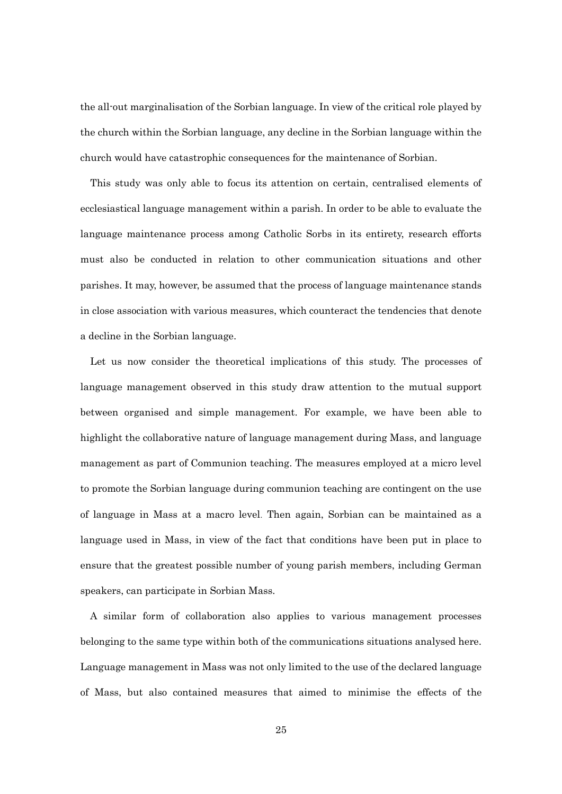the all-out marginalisation of the Sorbian language. In view of the critical role played by the church within the Sorbian language, any decline in the Sorbian language within the church would have catastrophic consequences for the maintenance of Sorbian.

This study was only able to focus its attention on certain, centralised elements of ecclesiastical language management within a parish. In order to be able to evaluate the language maintenance process among Catholic Sorbs in its entirety, research efforts must also be conducted in relation to other communication situations and other parishes. It may, however, be assumed that the process of language maintenance stands in close association with various measures, which counteract the tendencies that denote a decline in the Sorbian language.

Let us now consider the theoretical implications of this study. The processes of language management observed in this study draw attention to the mutual support between organised and simple management. For example, we have been able to highlight the collaborative nature of language management during Mass, and language management as part of Communion teaching. The measures employed at a micro level to promote the Sorbian language during communion teaching are contingent on the use of language in Mass at a macro level. Then again, Sorbian can be maintained as a language used in Mass, in view of the fact that conditions have been put in place to ensure that the greatest possible number of young parish members, including German speakers, can participate in Sorbian Mass.

 A similar form of collaboration also applies to various management processes belonging to the same type within both of the communications situations analysed here. Language management in Mass was not only limited to the use of the declared language of Mass, but also contained measures that aimed to minimise the effects of the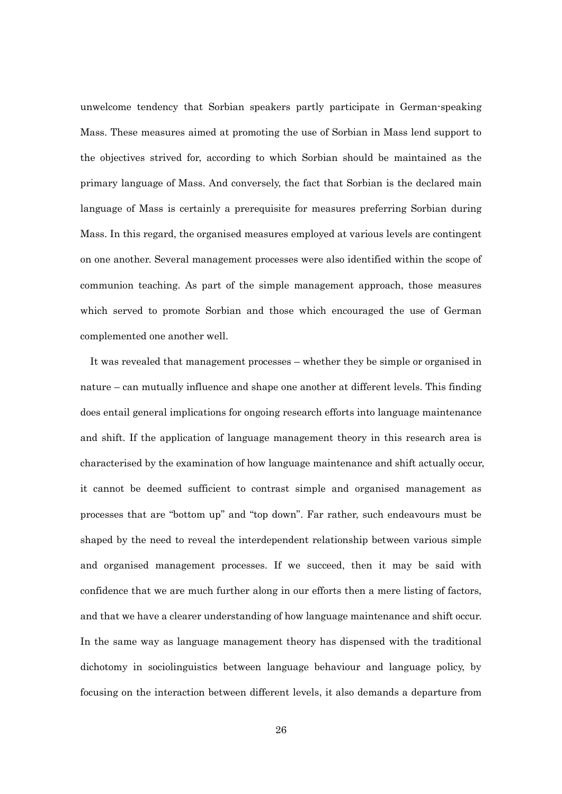unwelcome tendency that Sorbian speakers partly participate in German-speaking Mass. These measures aimed at promoting the use of Sorbian in Mass lend support to the objectives strived for, according to which Sorbian should be maintained as the primary language of Mass. And conversely, the fact that Sorbian is the declared main language of Mass is certainly a prerequisite for measures preferring Sorbian during Mass. In this regard, the organised measures employed at various levels are contingent on one another. Several management processes were also identified within the scope of communion teaching. As part of the simple management approach, those measures which served to promote Sorbian and those which encouraged the use of German complemented one another well.

 It was revealed that management processes – whether they be simple or organised in nature – can mutually influence and shape one another at different levels. This finding does entail general implications for ongoing research efforts into language maintenance and shift. If the application of language management theory in this research area is characterised by the examination of how language maintenance and shift actually occur, it cannot be deemed sufficient to contrast simple and organised management as processes that are "bottom up" and "top down". Far rather, such endeavours must be shaped by the need to reveal the interdependent relationship between various simple and organised management processes. If we succeed, then it may be said with confidence that we are much further along in our efforts then a mere listing of factors, and that we have a clearer understanding of how language maintenance and shift occur. In the same way as language management theory has dispensed with the traditional dichotomy in sociolinguistics between language behaviour and language policy, by focusing on the interaction between different levels, it also demands a departure from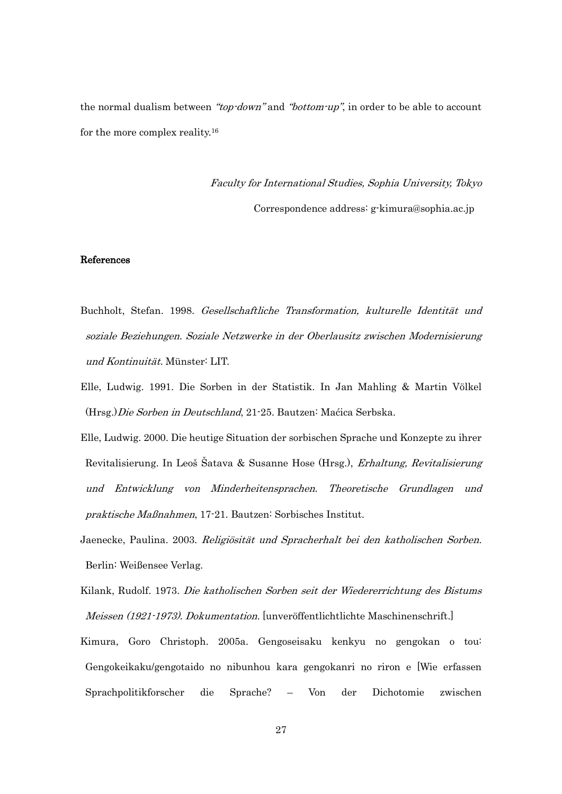the normal dualism between "*top-down*" and "*bottom-up*", in order to be able to account for the more complex reality.<sup>16</sup>

> Faculty for International Studies, Sophia University, Tokyo Correspondence address: g-kimura@sophia.ac.jp

## References

- Buchholt, Stefan. 1998. Gesellschaftliche Transformation, kulturelle Identität und soziale Beziehungen. Soziale Netzwerke in der Oberlausitz zwischen Modernisierung und Kontinuität. Münster: LIT.
- Elle, Ludwig. 1991. Die Sorben in der Statistik. In Jan Mahling & Martin Völkel (Hrsg.)Die Sorben in Deutschland, 21-25. Bautzen: Maćica Serbska.
- Elle, Ludwig. 2000. Die heutige Situation der sorbischen Sprache und Konzepte zu ihrer Revitalisierung. In Leoš Šatava & Susanne Hose (Hrsg.), Erhaltung, Revitalisierung und Entwicklung von Minderheitensprachen. Theoretische Grundlagen und praktische Maßnahmen, 17-21. Bautzen: Sorbisches Institut.
- Jaenecke, Paulina. 2003. Religiösität und Spracherhalt bei den katholischen Sorben. Berlin: Weißensee Verlag.
- Kilank, Rudolf. 1973. Die katholischen Sorben seit der Wiedererrichtung des Bistums Meissen (1921-1973). Dokumentation. [unveröffentlichtlichte Maschinenschrift.]
- Kimura, Goro Christoph. 2005a. Gengoseisaku kenkyu no gengokan o tou: Gengokeikaku/gengotaido no nibunhou kara gengokanri no riron e [Wie erfassen Sprachpolitikforscher die Sprache? – Von der Dichotomie zwischen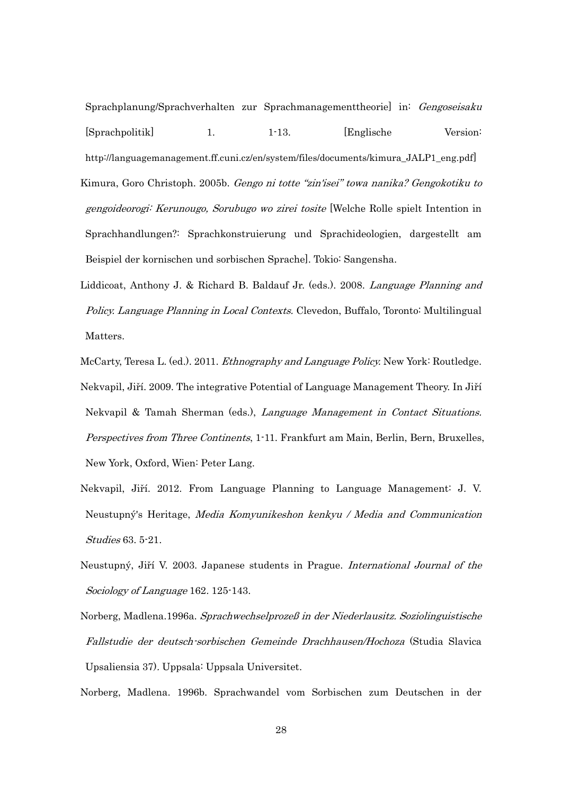Sprachplanung/Sprachverhalten zur Sprachmanagementtheorie] in: Gengoseisaku [Sprachpolitik] 1. 1-13. [Englische Version: http://languagemanagement.ff.cuni.cz/en/system/files/documents/kimura\_JALP1\_eng.pdf] Kimura, Goro Christoph. 2005b. Gengo ni totte "zin'isei" towa nanika? Gengokotiku to gengoideorogi: Kerunougo, Sorubugo wo zirei tosite [Welche Rolle spielt Intention in Sprachhandlungen?: Sprachkonstruierung und Sprachideologien, dargestellt am Beispiel der kornischen und sorbischen Sprache]. Tokio: Sangensha.

- Liddicoat, Anthony J. & Richard B. Baldauf Jr. (eds.). 2008. Language Planning and Policy. Language Planning in Local Contexts. Clevedon, Buffalo, Toronto: Multilingual Matters.
- McCarty, Teresa L. (ed.). 2011. *Ethnography and Language Policy*. New York: Routledge. Nekvapil, Jiří. 2009. The integrative Potential of Language Management Theory. In Jiří Nekvapil & Tamah Sherman (eds.), Language Management in Contact Situations. Perspectives from Three Continents, 1-11. Frankfurt am Main, Berlin, Bern, Bruxelles, New York, Oxford, Wien: Peter Lang.
- Nekvapil, Jiří. 2012. From Language Planning to Language Management: J. V. Neustupný's Heritage, Media Komyunikeshon kenkyu / Media and Communication Studies 63. 5-21.
- Neustupný, Jiří V. 2003. Japanese students in Prague. *International Journal of the* Sociology of Language 162. 125-143.
- Norberg, Madlena.1996a. Sprachwechselprozeß in der Niederlausitz. Soziolinguistische Fallstudie der deutsch-sorbischen Gemeinde Drachhausen/Hochoza (Studia Slavica Upsaliensia 37). Uppsala: Uppsala Universitet.

Norberg, Madlena. 1996b. Sprachwandel vom Sorbischen zum Deutschen in der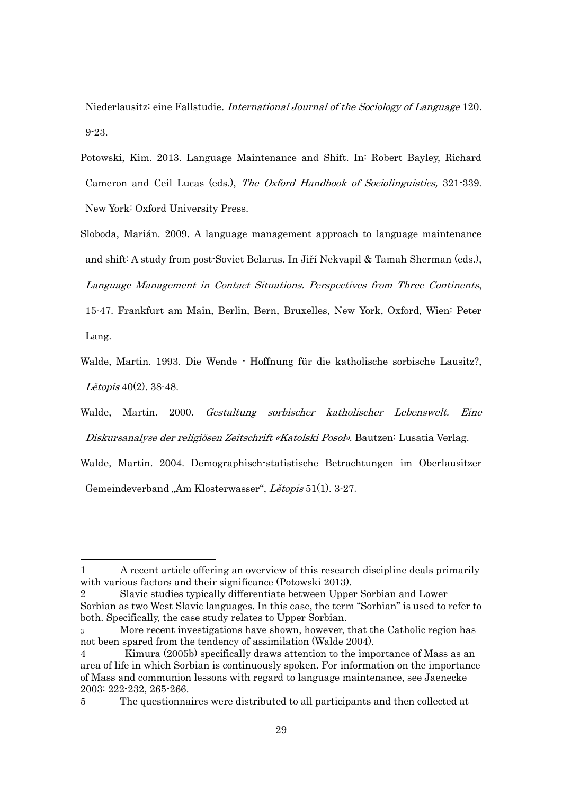Niederlausitz: eine Fallstudie. International Journal of the Sociology of Language 120. 9-23.

- Potowski, Kim. 2013. Language Maintenance and Shift. In: Robert Bayley, Richard Cameron and Ceil Lucas (eds.), The Oxford Handbook of Sociolinguistics, 321-339. New York: Oxford University Press.
- Sloboda, Marián. 2009. A language management approach to language maintenance and shift: A study from post-Soviet Belarus. In Jiří Nekvapil & Tamah Sherman (eds.), Language Management in Contact Situations. Perspectives from Three Continents, 15-47. Frankfurt am Main, Berlin, Bern, Bruxelles, New York, Oxford, Wien: Peter

Lang.

-

- Walde, Martin. 1993. Die Wende Hoffnung für die katholische sorbische Lausitz?, Lětopis 40(2). 38-48.
- Walde, Martin. 2000. Gestaltung sorbischer katholischer Lebenswelt. Eine Diskursanalyse der religiösen Zeitschrift «Katolski Posoł». Bautzen: Lusatia Verlag.

Walde, Martin. 2004. Demographisch-statistische Betrachtungen im Oberlausitzer Gemeindeverband "Am Klosterwasser", Lětopis 51(1). 3-27.

<sup>1</sup> A recent article offering an overview of this research discipline deals primarily with various factors and their significance (Potowski 2013).

<sup>2</sup> Slavic studies typically differentiate between Upper Sorbian and Lower Sorbian as two West Slavic languages. In this case, the term "Sorbian" is used to refer to both. Specifically, the case study relates to Upper Sorbian.

<sup>3</sup> More recent investigations have shown, however, that the Catholic region has not been spared from the tendency of assimilation (Walde 2004).

<sup>4</sup> Kimura (2005b) specifically draws attention to the importance of Mass as an area of life in which Sorbian is continuously spoken. For information on the importance of Mass and communion lessons with regard to language maintenance, see Jaenecke 2003: 222-232, 265-266.

<sup>5</sup> The questionnaires were distributed to all participants and then collected at